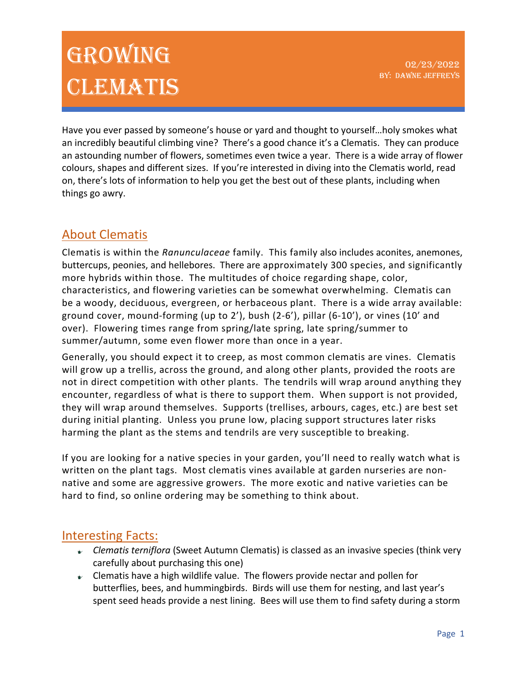Have you ever passed by someone's house or yard and thought to yourself…holy smokes what an incredibly beautiful climbing vine? There's a good chance it's a Clematis. They can produce an astounding number of flowers, sometimes even twice a year. There is a wide array of flower colours, shapes and different sizes. If you're interested in diving into the Clematis world, read on, there's lots of information to help you get the best out of these plants, including when things go awry.

### About Clematis

Clematis is within the *Ranunculaceae* family. This family also includes aconites, anemones, buttercups, peonies, and hellebores. There are approximately 300 species, and significantly more hybrids within those. The multitudes of choice regarding shape, color, characteristics, and flowering varieties can be somewhat overwhelming. Clematis can be a woody, deciduous, evergreen, or herbaceous plant. There is a wide array available: ground cover, mound-forming (up to 2'), bush (2-6'), pillar (6-10'), or vines (10' and over). Flowering times range from spring/late spring, late spring/summer to summer/autumn, some even flower more than once in a year.

Generally, you should expect it to creep, as most common clematis are vines. Clematis will grow up a trellis, across the ground, and along other plants, provided the roots are not in direct competition with other plants. The tendrils will wrap around anything they encounter, regardless of what is there to support them. When support is not provided, they will wrap around themselves. Supports (trellises, arbours, cages, etc.) are best set during initial planting. Unless you prune low, placing support structures later risks harming the plant as the stems and tendrils are very susceptible to breaking.

If you are looking for a native species in your garden, you'll need to really watch what is written on the plant tags. Most clematis vines available at garden nurseries are nonnative and some are aggressive growers. The more exotic and native varieties can be hard to find, so online ordering may be something to think about.

### Interesting Facts:

- *Clematis terniflora* (Sweet Autumn Clematis) is classed as an invasive species (think very carefully about purchasing this one)
- $\bullet$  Clematis have a high wildlife value. The flowers provide nectar and pollen for butterflies, bees, and hummingbirds. Birds will use them for nesting, and last year's spent seed heads provide a nest lining. Bees will use them to find safety during a storm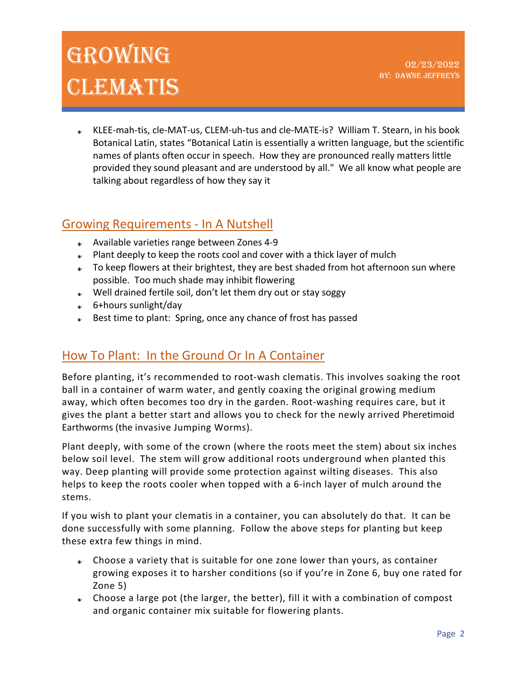KLEE-mah-tis, cle-MAT-us, CLEM-uh-tus and cle-MATE-is? William T. Stearn, in his book Botanical Latin, states "Botanical Latin is essentially a written language, but the scientific names of plants often occur in speech. How they are pronounced really matters little provided they sound pleasant and are understood by all." We all know what people are talking about regardless of how they say it

### Growing Requirements - In A Nutshell

- $\bullet$  Available varieties range between Zones 4-9
- $\blacktriangleright$  Plant deeply to keep the roots cool and cover with a thick layer of mulch
- $\bullet$  To keep flowers at their brightest, they are best shaded from hot afternoon sun where possible. Too much shade may inhibit flowering
- $\mathcal V$  Well drained fertile soil, don't let them dry out or stay soggy
- 6+hours sunlight/day
- $\bullet$  Best time to plant: Spring, once any chance of frost has passed

## How To Plant: In the Ground Or In A Container

Before planting, it's recommended to root-wash clematis. This involves soaking the root ball in a container of warm water, and gently coaxing the original growing medium away, which often becomes too dry in the garden. Root-washing requires care, but it gives the plant a better start and allows you to check for the newly arrived Pheretimoid Earthworms (the invasive Jumping Worms).

Plant deeply, with some of the crown (where the roots meet the stem) about six inches below soil level. The stem will grow additional roots underground when planted this way. Deep planting will provide some protection against wilting diseases. This also helps to keep the roots cooler when topped with a 6-inch layer of mulch around the stems.

If you wish to plant your clematis in a container, you can absolutely do that. It can be done successfully with some planning. Follow the above steps for planting but keep these extra few things in mind.

- $\bullet$  Choose a variety that is suitable for one zone lower than yours, as container growing exposes it to harsher conditions (so if you're in Zone 6, buy one rated for Zone 5)
- $\bullet$  Choose a large pot (the larger, the better), fill it with a combination of compost and organic container mix suitable for flowering plants.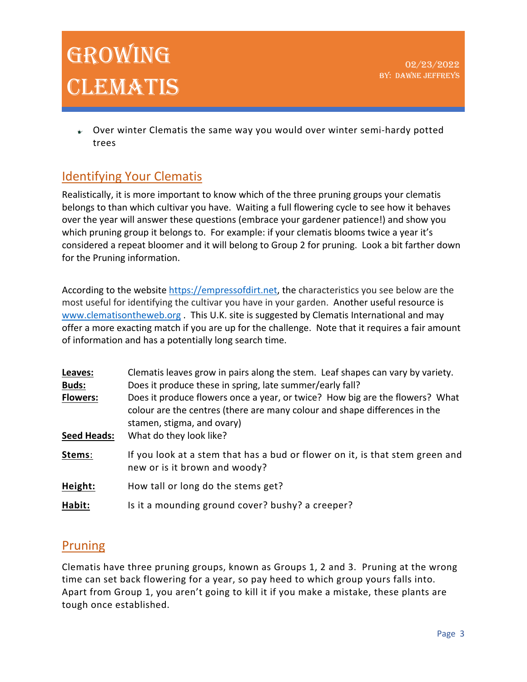$\bullet$  Over winter Clematis the same way you would over winter semi-hardy potted trees

## Identifying Your Clematis

Realistically, it is more important to know which of the three pruning groups your clematis belongs to than which cultivar you have. Waiting a full flowering cycle to see how it behaves over the year will answer these questions (embrace your gardener patience!) and show you which pruning group it belongs to. For example: if your clematis blooms twice a year it's considered a repeat bloomer and it will belong to Group 2 for pruning. Look a bit farther down for the Pruning information.

According to the website https://empressofdirt.net, the characteristics you see below are the most useful for identifying the cultivar you have in your garden. Another useful resource is www.clematisontheweb.org . This U.K. site is suggested by Clematis International and may offer a more exacting match if you are up for the challenge. Note that it requires a fair amount of information and has a potentially long search time.

| Leaves:<br><b>Buds:</b> | Clematis leaves grow in pairs along the stem. Leaf shapes can vary by variety.<br>Does it produce these in spring, late summer/early fall?                                               |  |  |
|-------------------------|------------------------------------------------------------------------------------------------------------------------------------------------------------------------------------------|--|--|
| <b>Flowers:</b>         | Does it produce flowers once a year, or twice? How big are the flowers? What<br>colour are the centres (there are many colour and shape differences in the<br>stamen, stigma, and ovary) |  |  |
| <b>Seed Heads:</b>      | What do they look like?                                                                                                                                                                  |  |  |
| Stems:                  | If you look at a stem that has a bud or flower on it, is that stem green and<br>new or is it brown and woody?                                                                            |  |  |
| Height:                 | How tall or long do the stems get?                                                                                                                                                       |  |  |
| Habit:                  | Is it a mounding ground cover? bushy? a creeper?                                                                                                                                         |  |  |

### Pruning

Clematis have three pruning groups, known as Groups 1, 2 and 3. Pruning at the wrong time can set back flowering for a year, so pay heed to which group yours falls into. Apart from Group 1, you aren't going to kill it if you make a mistake, these plants are tough once established.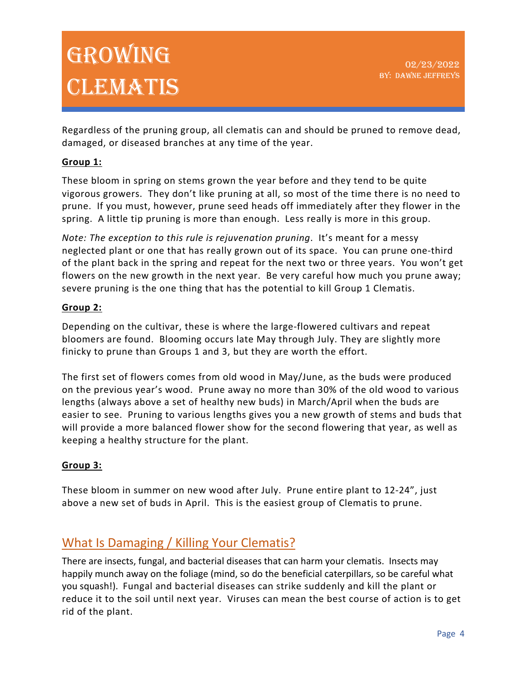Regardless of the pruning group, all clematis can and should be pruned to remove dead, damaged, or diseased branches at any time of the year.

#### **Group 1:**

These bloom in spring on stems grown the year before and they tend to be quite vigorous growers. They don't like pruning at all, so most of the time there is no need to prune. If you must, however, prune seed heads off immediately after they flower in the spring. A little tip pruning is more than enough. Less really is more in this group.

*Note: The exception to this rule is rejuvenation pruning*. It's meant for a messy neglected plant or one that has really grown out of its space. You can prune one-third of the plant back in the spring and repeat for the next two or three years. You won't get flowers on the new growth in the next year. Be very careful how much you prune away; severe pruning is the one thing that has the potential to kill Group 1 Clematis.

#### **Group 2:**

Depending on the cultivar, these is where the large-flowered cultivars and repeat bloomers are found. Blooming occurs late May through July. They are slightly more finicky to prune than Groups 1 and 3, but they are worth the effort.

The first set of flowers comes from old wood in May/June, as the buds were produced on the previous year's wood. Prune away no more than 30% of the old wood to various lengths (always above a set of healthy new buds) in March/April when the buds are easier to see. Pruning to various lengths gives you a new growth of stems and buds that will provide a more balanced flower show for the second flowering that year, as well as keeping a healthy structure for the plant.

#### **Group 3:**

These bloom in summer on new wood after July. Prune entire plant to 12-24", just above a new set of buds in April. This is the easiest group of Clematis to prune.

## What Is Damaging / Killing Your Clematis?

There are insects, fungal, and bacterial diseases that can harm your clematis. Insects may happily munch away on the foliage (mind, so do the beneficial caterpillars, so be careful what you squash!). Fungal and bacterial diseases can strike suddenly and kill the plant or reduce it to the soil until next year. Viruses can mean the best course of action is to get rid of the plant.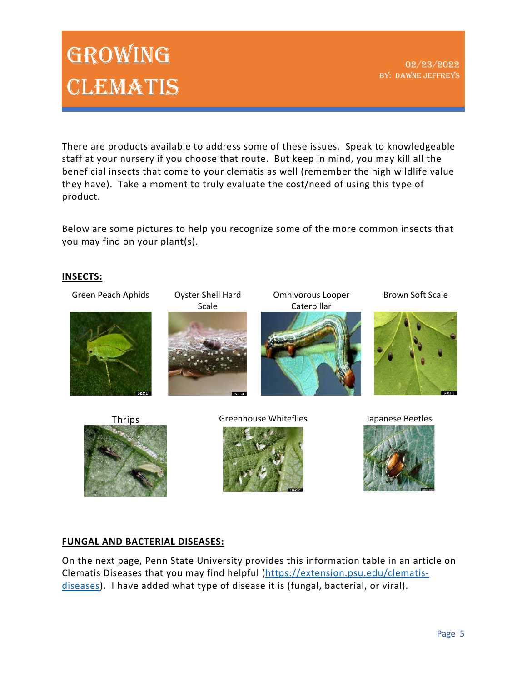02/23/2022 BY: DAWNE JEFFREYS

There are products available to address some of these issues. Speak to knowledgeable staff at your nursery if you choose that route. But keep in mind, you may kill all the beneficial insects that come to your clematis as well (remember the high wildlife value they have). Take a moment to truly evaluate the cost/need of using this type of product.

Below are some pictures to help you recognize some of the more common insects that you may find on your plant(s).

#### **INSECTS:**



#### **FUNGAL AND BACTERIAL DISEASES:**

On the next page, Penn State University provides this information table in an article on Clematis Diseases that you may find helpful (https://extension.psu.edu/clematisdiseases). I have added what type of disease it is (fungal, bacterial, or viral).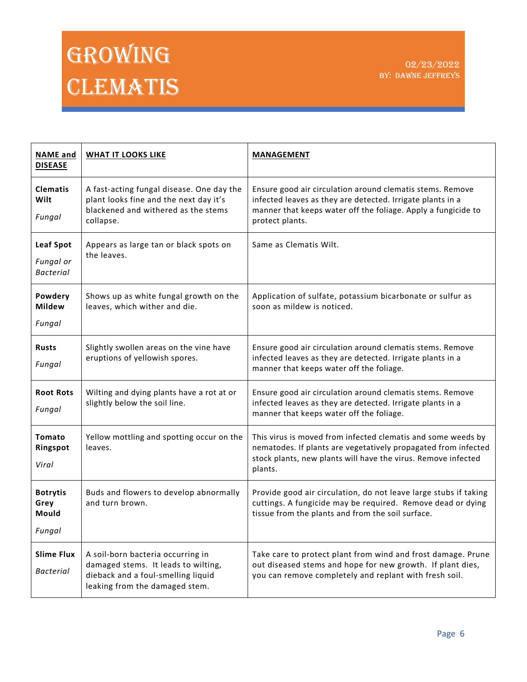| <b>NAME</b> and<br><b>DISEASE</b>                 | <b>WHAT IT LOOKS LIKE</b>                                                                                                                        | <b>MANAGEMENT</b>                                                                                                                                                                                           |
|---------------------------------------------------|--------------------------------------------------------------------------------------------------------------------------------------------------|-------------------------------------------------------------------------------------------------------------------------------------------------------------------------------------------------------------|
| <b>Clematis</b><br>Wilt<br>Fungal                 | A fast-acting fungal disease. One day the<br>plant looks fine and the next day it's<br>blackened and withered as the stems<br>collapse.          | Ensure good air circulation around clematis stems. Remove<br>infected leaves as they are detected. Irrigate plants in a<br>manner that keeps water off the foliage. Apply a fungicide to<br>protect plants. |
| <b>Leaf Spot</b><br>Fungal or<br><b>Bacterial</b> | Appears as large tan or black spots on<br>the leaves.                                                                                            | Same as Clematis Wilt.                                                                                                                                                                                      |
| Powdery<br><b>Mildew</b><br>Fungal                | Shows up as white fungal growth on the<br>leaves, which wither and die.                                                                          | Application of sulfate, potassium bicarbonate or sulfur as<br>soon as mildew is noticed.                                                                                                                    |
| <b>Rusts</b><br>Fungal                            | Slightly swollen areas on the vine have<br>eruptions of yellowish spores.                                                                        | Ensure good air circulation around clematis stems. Remove<br>infected leaves as they are detected. Irrigate plants in a<br>manner that keeps water off the foliage.                                         |
| <b>Root Rots</b><br>Fungal                        | Wilting and dying plants have a rot at or<br>slightly below the soil line.                                                                       | Ensure good air circulation around clematis stems. Remove<br>infected leaves as they are detected. Irrigate plants in a<br>manner that keeps water off the foliage.                                         |
| Tomato<br>Ringspot<br>Viral                       | Yellow mottling and spotting occur on the<br>leaves.                                                                                             | This virus is moved from infected clematis and some weeds by<br>nematodes. If plants are vegetatively propagated from infected<br>stock plants, new plants will have the virus. Remove infected<br>plants.  |
| <b>Botrytis</b><br>Grey<br>Mould<br>Fungal        | Buds and flowers to develop abnormally<br>and turn brown.                                                                                        | Provide good air circulation, do not leave large stubs if taking<br>cuttings. A fungicide may be required. Remove dead or dying<br>tissue from the plants and from the soil surface.                        |
| <b>Slime Flux</b><br><b>Bacterial</b>             | A soil-born bacteria occurring in<br>damaged stems. It leads to wilting,<br>dieback and a foul-smelling liquid<br>leaking from the damaged stem. | Take care to protect plant from wind and frost damage. Prune<br>out diseased stems and hope for new growth. If plant dies,<br>you can remove completely and replant with fresh soil.                        |